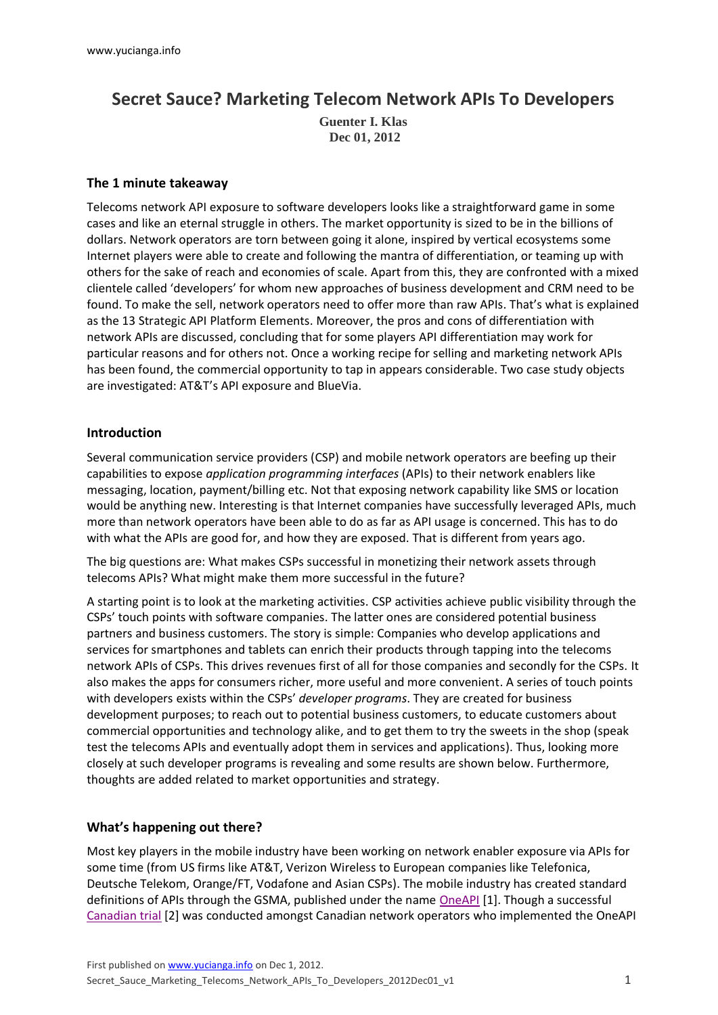# **Secret Sauce? Marketing Telecom Network APIs To Developers**

**Guenter I. Klas Dec 01, 2012**

#### **The 1 minute takeaway**

Telecoms network API exposure to software developers looks like a straightforward game in some cases and like an eternal struggle in others. The market opportunity is sized to be in the billions of dollars. Network operators are torn between going it alone, inspired by vertical ecosystems some Internet players were able to create and following the mantra of differentiation, or teaming up with others for the sake of reach and economies of scale. Apart from this, they are confronted with a mixed clientele called 'developers' for whom new approaches of business development and CRM need to be found. To make the sell, network operators need to offer more than raw APIs. That's what is explained as the 13 Strategic API Platform Elements. Moreover, the pros and cons of differentiation with network APIs are discussed, concluding that for some players API differentiation may work for particular reasons and for others not. Once a working recipe for selling and marketing network APIs has been found, the commercial opportunity to tap in appears considerable. Two case study objects are investigated: AT&T's API exposure and BlueVia.

#### **Introduction**

Several communication service providers (CSP) and mobile network operators are beefing up their capabilities to expose *application programming interfaces* (APIs) to their network enablers like messaging, location, payment/billing etc. Not that exposing network capability like SMS or location would be anything new. Interesting is that Internet companies have successfully leveraged APIs, much more than network operators have been able to do as far as API usage is concerned. This has to do with what the APIs are good for, and how they are exposed. That is different from years ago.

The big questions are: What makes CSPs successful in monetizing their network assets through telecoms APIs? What might make them more successful in the future?

A starting point is to look at the marketing activities. CSP activities achieve public visibility through the CSPs' touch points with software companies. The latter ones are considered potential business partners and business customers. The story is simple: Companies who develop applications and services for smartphones and tablets can enrich their products through tapping into the telecoms network APIs of CSPs. This drives revenues first of all for those companies and secondly for the CSPs. It also makes the apps for consumers richer, more useful and more convenient. A series of touch points with developers exists within the CSPs' *developer programs*. They are created for business development purposes; to reach out to potential business customers, to educate customers about commercial opportunities and technology alike, and to get them to try the sweets in the shop (speak test the telecoms APIs and eventually adopt them in services and applications). Thus, looking more closely at such developer programs is revealing and some results are shown below. Furthermore, thoughts are added related to market opportunities and strategy.

### **What's happening out there?**

Most key players in the mobile industry have been working on network enabler exposure via APIs for some time (from US firms like AT&T, Verizon Wireless to European companies like Telefonica, Deutsche Telekom, Orange/FT, Vodafone and Asian CSPs). The mobile industry has created standard definitions of APIs through the GSMA, published under the name [OneAPI](http://oneapi.gsma.com/) [1]. Though a successful [Canadian](http://www.slideshare.net/oneapilive/gsma-oneapi-gateway) trial [2] was conducted amongst Canadian network operators who implemented the OneAPI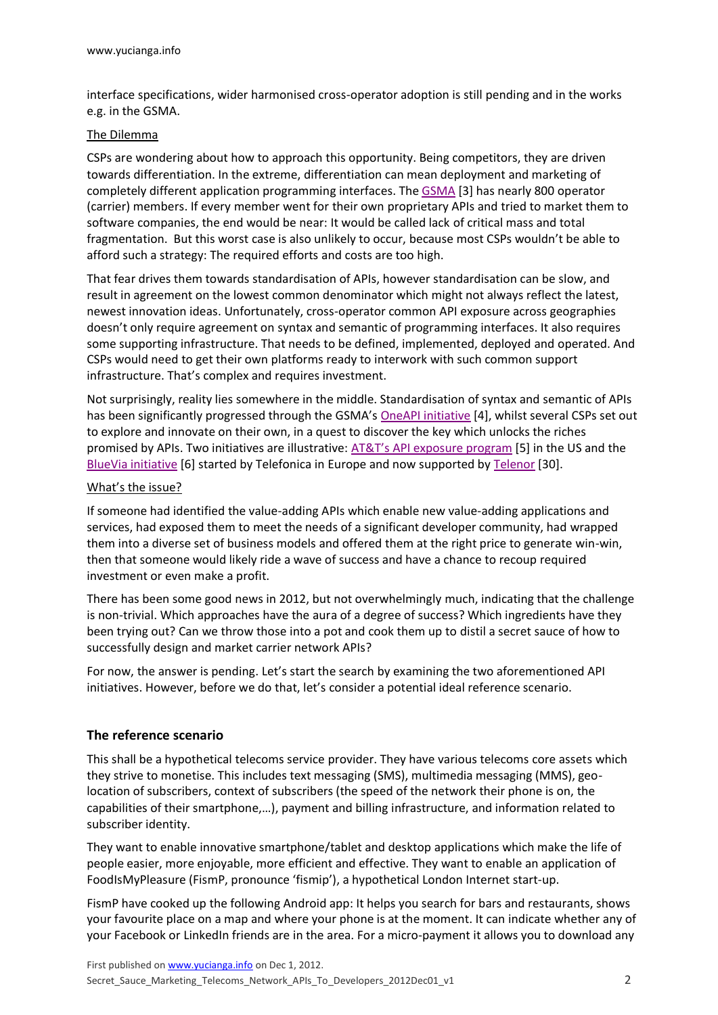interface specifications, wider harmonised cross-operator adoption is still pending and in the works e.g. in the GSMA.

#### The Dilemma

CSPs are wondering about how to approach this opportunity. Being competitors, they are driven towards differentiation. In the extreme, differentiation can mean deployment and marketing of completely different application programming interfaces. The [GSMA](http://www.gsma.com/membership/) [3] has nearly 800 operator (carrier) members. If every member went for their own proprietary APIs and tried to market them to software companies, the end would be near: It would be called lack of critical mass and total fragmentation. But this worst case is also unlikely to occur, because most CSPs wouldn't be able to afford such a strategy: The required efforts and costs are too high.

That fear drives them towards standardisation of APIs, however standardisation can be slow, and result in agreement on the lowest common denominator which might not always reflect the latest, newest innovation ideas. Unfortunately, cross-operator common API exposure across geographies doesn't only require agreement on syntax and semantic of programming interfaces. It also requires some supporting infrastructure. That needs to be defined, implemented, deployed and operated. And CSPs would need to get their own platforms ready to interwork with such common support infrastructure. That's complex and requires investment.

Not surprisingly, reality lies somewhere in the middle. Standardisation of syntax and semantic of APIs has been significantly progressed through the GSMA's [OneAPI initiative](http://oneapi.gsma.com/api-list/) [4], whilst several CSPs set out to explore and innovate on their own, in a quest to discover the key which unlocks the riches promised by APIs. Two initiatives are illustrative: [AT&T's API exposure program](http://developer.att.com/) [5] in the US and the [BlueVia initiative](https://bluevia.com/en/) [6] started by Telefonica in Europe and now supported by [Telenor](http://www.eurocomms.com/features/analysis/8602-telenor-joins-bluevia-and-urges-other-operators-to-follow) [30].

#### What's the issue?

If someone had identified the value-adding APIs which enable new value-adding applications and services, had exposed them to meet the needs of a significant developer community, had wrapped them into a diverse set of business models and offered them at the right price to generate win-win, then that someone would likely ride a wave of success and have a chance to recoup required investment or even make a profit.

There has been some good news in 2012, but not overwhelmingly much, indicating that the challenge is non-trivial. Which approaches have the aura of a degree of success? Which ingredients have they been trying out? Can we throw those into a pot and cook them up to distil a secret sauce of how to successfully design and market carrier network APIs?

For now, the answer is pending. Let's start the search by examining the two aforementioned API initiatives. However, before we do that, let's consider a potential ideal reference scenario.

#### **The reference scenario**

This shall be a hypothetical telecoms service provider. They have various telecoms core assets which they strive to monetise. This includes text messaging (SMS), multimedia messaging (MMS), geolocation of subscribers, context of subscribers (the speed of the network their phone is on, the capabilities of their smartphone,…), payment and billing infrastructure, and information related to subscriber identity.

They want to enable innovative smartphone/tablet and desktop applications which make the life of people easier, more enjoyable, more efficient and effective. They want to enable an application of FoodIsMyPleasure (FismP, pronounce 'fismip'), a hypothetical London Internet start-up.

FismP have cooked up the following Android app: It helps you search for bars and restaurants, shows your favourite place on a map and where your phone is at the moment. It can indicate whether any of your Facebook or LinkedIn friends are in the area. For a micro-payment it allows you to download any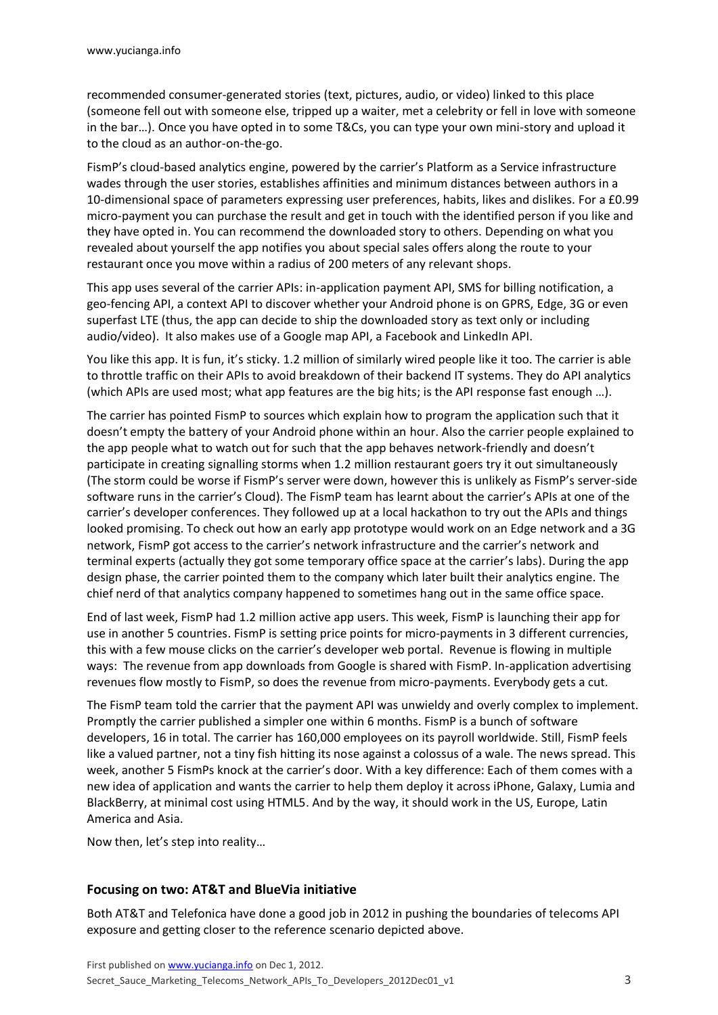recommended consumer-generated stories (text, pictures, audio, or video) linked to this place (someone fell out with someone else, tripped up a waiter, met a celebrity or fell in love with someone in the bar…). Once you have opted in to some T&Cs, you can type your own mini-story and upload it to the cloud as an author-on-the-go.

FismP's cloud-based analytics engine, powered by the carrier's Platform as a Service infrastructure wades through the user stories, establishes affinities and minimum distances between authors in a 10-dimensional space of parameters expressing user preferences, habits, likes and dislikes. For a £0.99 micro-payment you can purchase the result and get in touch with the identified person if you like and they have opted in. You can recommend the downloaded story to others. Depending on what you revealed about yourself the app notifies you about special sales offers along the route to your restaurant once you move within a radius of 200 meters of any relevant shops.

This app uses several of the carrier APIs: in-application payment API, SMS for billing notification, a geo-fencing API, a context API to discover whether your Android phone is on GPRS, Edge, 3G or even superfast LTE (thus, the app can decide to ship the downloaded story as text only or including audio/video). It also makes use of a Google map API, a Facebook and LinkedIn API.

You like this app. It is fun, it's sticky. 1.2 million of similarly wired people like it too. The carrier is able to throttle traffic on their APIs to avoid breakdown of their backend IT systems. They do API analytics (which APIs are used most; what app features are the big hits; is the API response fast enough …).

The carrier has pointed FismP to sources which explain how to program the application such that it doesn't empty the battery of your Android phone within an hour. Also the carrier people explained to the app people what to watch out for such that the app behaves network-friendly and doesn't participate in creating signalling storms when 1.2 million restaurant goers try it out simultaneously (The storm could be worse if FismP's server were down, however this is unlikely as FismP's server-side software runs in the carrier's Cloud). The FismP team has learnt about the carrier's APIs at one of the carrier's developer conferences. They followed up at a local hackathon to try out the APIs and things looked promising. To check out how an early app prototype would work on an Edge network and a 3G network, FismP got access to the carrier's network infrastructure and the carrier's network and terminal experts (actually they got some temporary office space at the carrier's labs). During the app design phase, the carrier pointed them to the company which later built their analytics engine. The chief nerd of that analytics company happened to sometimes hang out in the same office space.

End of last week, FismP had 1.2 million active app users. This week, FismP is launching their app for use in another 5 countries. FismP is setting price points for micro-payments in 3 different currencies, this with a few mouse clicks on the carrier's developer web portal. Revenue is flowing in multiple ways: The revenue from app downloads from Google is shared with FismP. In-application advertising revenues flow mostly to FismP, so does the revenue from micro-payments. Everybody gets a cut.

The FismP team told the carrier that the payment API was unwieldy and overly complex to implement. Promptly the carrier published a simpler one within 6 months. FismP is a bunch of software developers, 16 in total. The carrier has 160,000 employees on its payroll worldwide. Still, FismP feels like a valued partner, not a tiny fish hitting its nose against a colossus of a wale. The news spread. This week, another 5 FismPs knock at the carrier's door. With a key difference: Each of them comes with a new idea of application and wants the carrier to help them deploy it across iPhone, Galaxy, Lumia and BlackBerry, at minimal cost using HTML5. And by the way, it should work in the US, Europe, Latin America and Asia.

Now then, let's step into reality…

### **Focusing on two: AT&T and BlueVia initiative**

Both AT&T and Telefonica have done a good job in 2012 in pushing the boundaries of telecoms API exposure and getting closer to the reference scenario depicted above.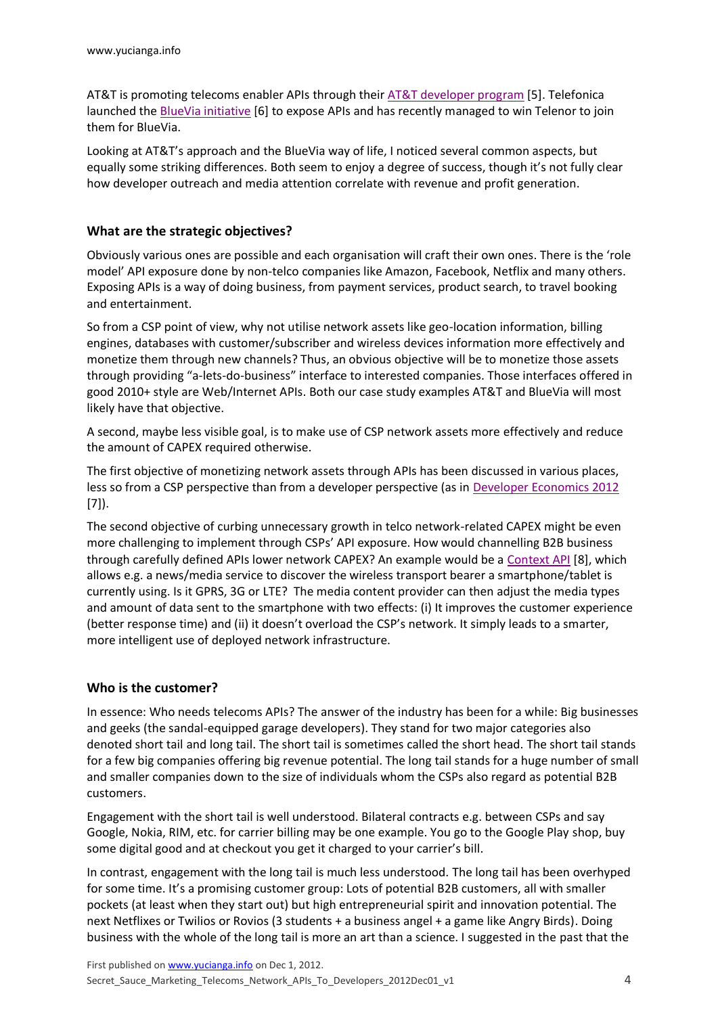AT&T is promoting telecoms enabler APIs through thei[r AT&T developer program](http://developer.att.com/) [5]. Telefonica launched the **BlueVia initiative** [6] to expose APIs and has recently managed to win Telenor to join them for BlueVia.

Looking at AT&T's approach and the BlueVia way of life, I noticed several common aspects, but equally some striking differences. Both seem to enjoy a degree of success, though it's not fully clear how developer outreach and media attention correlate with revenue and profit generation.

### **What are the strategic objectives?**

Obviously various ones are possible and each organisation will craft their own ones. There is the 'role model' API exposure done by non-telco companies like Amazon, Facebook, Netflix and many others. Exposing APIs is a way of doing business, from payment services, product search, to travel booking and entertainment.

So from a CSP point of view, why not utilise network assets like geo-location information, billing engines, databases with customer/subscriber and wireless devices information more effectively and monetize them through new channels? Thus, an obvious objective will be to monetize those assets through providing "a-lets-do-business" interface to interested companies. Those interfaces offered in good 2010+ style are Web/Internet APIs. Both our case study examples AT&T and BlueVia will most likely have that objective.

A second, maybe less visible goal, is to make use of CSP network assets more effectively and reduce the amount of CAPEX required otherwise.

The first objective of monetizing network assets through APIs has been discussed in various places, less so from a CSP perspective than from a developer perspective (as in [Developer Economics 2012](http://www.visionmobile.com/product/developer-economics-2012/) [7]).

The second objective of curbing unnecessary growth in telco network-related CAPEX might be even more challenging to implement through CSPs' API exposure. How would channelling B2B business through carefully defined APIs lower network CAPEX? An example would be a [Context API](http://oneapi.gsma.com/data-connection-profile-restful-netapi/) [8], which allows e.g. a news/media service to discover the wireless transport bearer a smartphone/tablet is currently using. Is it GPRS, 3G or LTE? The media content provider can then adjust the media types and amount of data sent to the smartphone with two effects: (i) It improves the customer experience (better response time) and (ii) it doesn't overload the CSP's network. It simply leads to a smarter, more intelligent use of deployed network infrastructure.

### **Who is the customer?**

In essence: Who needs telecoms APIs? The answer of the industry has been for a while: Big businesses and geeks (the sandal-equipped garage developers). They stand for two major categories also denoted short tail and long tail. The short tail is sometimes called the short head. The short tail stands for a few big companies offering big revenue potential. The long tail stands for a huge number of small and smaller companies down to the size of individuals whom the CSPs also regard as potential B2B customers.

Engagement with the short tail is well understood. Bilateral contracts e.g. between CSPs and say Google, Nokia, RIM, etc. for carrier billing may be one example. You go to the Google Play shop, buy some digital good and at checkout you get it charged to your carrier's bill.

In contrast, engagement with the long tail is much less understood. The long tail has been overhyped for some time. It's a promising customer group: Lots of potential B2B customers, all with smaller pockets (at least when they start out) but high entrepreneurial spirit and innovation potential. The next Netflixes or Twilios or Rovios (3 students + a business angel + a game like Angry Birds). Doing business with the whole of the long tail is more an art than a science. I suggested in the past that the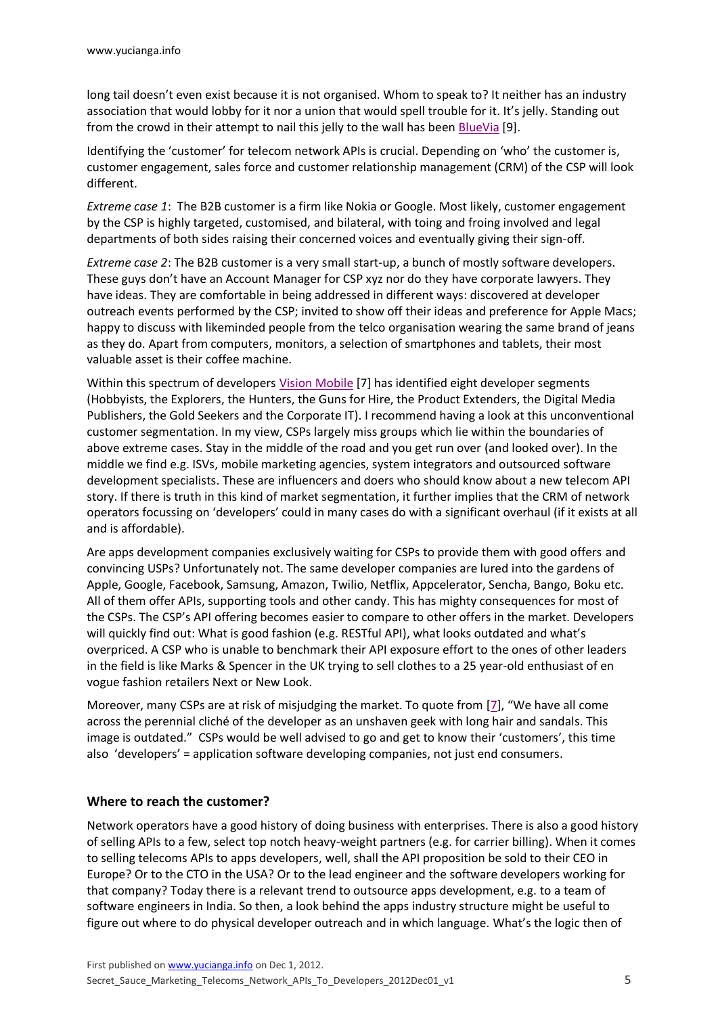long tail doesn't even exist because it is not organised. Whom to speak to? It neither has an industry association that would lobby for it nor a union that would spell trouble for it. It's jelly. Standing out from the crowd in their attempt to nail this jelly to the wall has been [BlueVia](https://bluevia.com/en/page/tour) [9].

Identifying the 'customer' for telecom network APIs is crucial. Depending on 'who' the customer is, customer engagement, sales force and customer relationship management (CRM) of the CSP will look different.

*Extreme case 1*: The B2B customer is a firm like Nokia or Google. Most likely, customer engagement by the CSP is highly targeted, customised, and bilateral, with toing and froing involved and legal departments of both sides raising their concerned voices and eventually giving their sign-off.

*Extreme case 2*: The B2B customer is a very small start-up, a bunch of mostly software developers. These guys don't have an Account Manager for CSP xyz nor do they have corporate lawyers. They have ideas. They are comfortable in being addressed in different ways: discovered at developer outreach events performed by the CSP; invited to show off their ideas and preference for Apple Macs; happy to discuss with likeminded people from the telco organisation wearing the same brand of jeans as they do. Apart from computers, monitors, a selection of smartphones and tablets, their most valuable asset is their coffee machine.

Within this spectrum of developers Vision [Mobile](http://www.visionmobile.com/product/developer-economics-2012/) [7] has identified eight developer segments (Hobbyists, the Explorers, the Hunters, the Guns for Hire, the Product Extenders, the Digital Media Publishers, the Gold Seekers and the Corporate IT). I recommend having a look at this unconventional customer segmentation. In my view, CSPs largely miss groups which lie within the boundaries of above extreme cases. Stay in the middle of the road and you get run over (and looked over). In the middle we find e.g. ISVs, mobile marketing agencies, system integrators and outsourced software development specialists. These are influencers and doers who should know about a new telecom API story. If there is truth in this kind of market segmentation, it further implies that the CRM of network operators focussing on 'developers' could in many cases do with a significant overhaul (if it exists at all and is affordable).

Are apps development companies exclusively waiting for CSPs to provide them with good offers and convincing USPs? Unfortunately not. The same developer companies are lured into the gardens of Apple, Google, Facebook, Samsung, Amazon, Twilio, Netflix, Appcelerator, Sencha, Bango, Boku etc. All of them offer APIs, supporting tools and other candy. This has mighty consequences for most of the CSPs. The CSP's API offering becomes easier to compare to other offers in the market. Developers will quickly find out: What is good fashion (e.g. RESTful API), what looks outdated and what's overpriced. A CSP who is unable to benchmark their API exposure effort to the ones of other leaders in the field is like Marks & Spencer in the UK trying to sell clothes to a 25 year-old enthusiast of en vogue fashion retailers Next or New Look.

Moreover, many CSPs are at risk of misjudging the market. To quote from  $[7]$  $[7]$ , "We have all come across the perennial cliché of the developer as an unshaven geek with long hair and sandals. This image is outdated." CSPs would be well advised to go and get to know their 'customers', this time also 'developers' = application software developing companies, not just end consumers.

### **Where to reach the customer?**

Network operators have a good history of doing business with enterprises. There is also a good history of selling APIs to a few, select top notch heavy-weight partners (e.g. for carrier billing). When it comes to selling telecoms APIs to apps developers, well, shall the API proposition be sold to their CEO in Europe? Or to the CTO in the USA? Or to the lead engineer and the software developers working for that company? Today there is a relevant trend to outsource apps development, e.g. to a team of software engineers in India. So then, a look behind the apps industry structure might be useful to figure out where to do physical developer outreach and in which language. What's the logic then of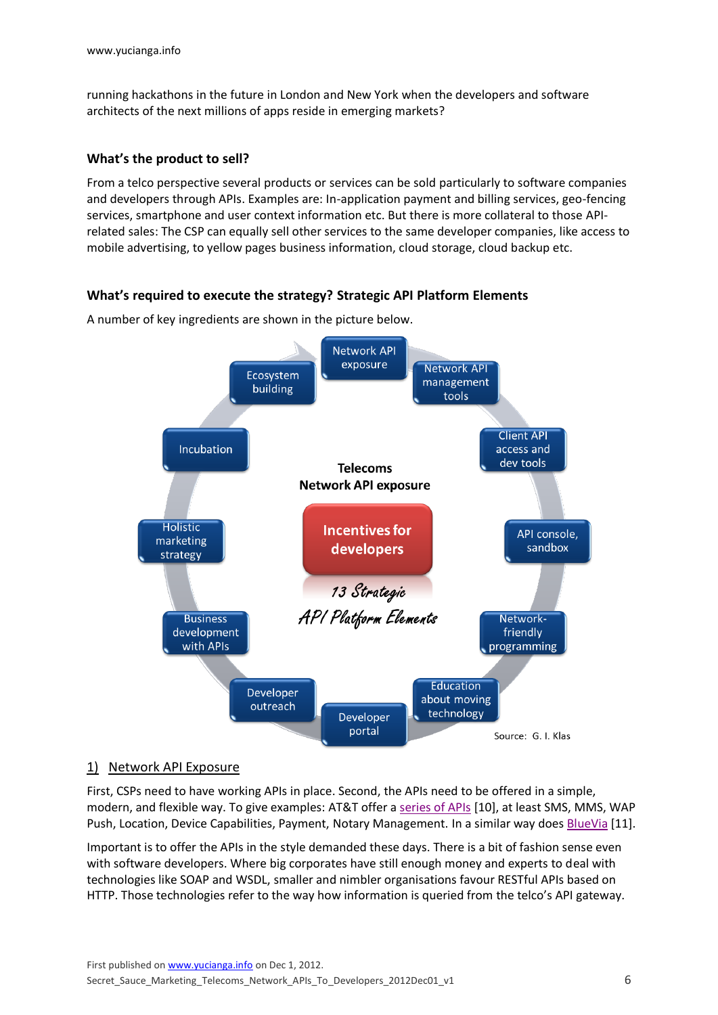running hackathons in the future in London and New York when the developers and software architects of the next millions of apps reside in emerging markets?

#### **What's the product to sell?**

From a telco perspective several products or services can be sold particularly to software companies and developers through APIs. Examples are: In-application payment and billing services, geo-fencing services, smartphone and user context information etc. But there is more collateral to those APIrelated sales: The CSP can equally sell other services to the same developer companies, like access to mobile advertising, to yellow pages business information, cloud storage, cloud backup etc.

### **What's required to execute the strategy? Strategic API Platform Elements**

A number of key ingredients are shown in the picture below.



### 1) Network API Exposure

First, CSPs need to have working APIs in place. Second, the APIs need to be offered in a simple, modern, and flexible way. To give examples: AT&T offer [a series of APIs](http://developer.att.com/developer/basicTemplate.jsp?passedItemId=12500043) [10], at least SMS, MMS, WAP Push, Location, Device Capabilities, Payment, Notary Management. In a similar way does [BlueVia](https://bluevia.com/en/page/tech.overview) [11].

Important is to offer the APIs in the style demanded these days. There is a bit of fashion sense even with software developers. Where big corporates have still enough money and experts to deal with technologies like SOAP and WSDL, smaller and nimbler organisations favour RESTful APIs based on HTTP. Those technologies refer to the way how information is queried from the telco's API gateway.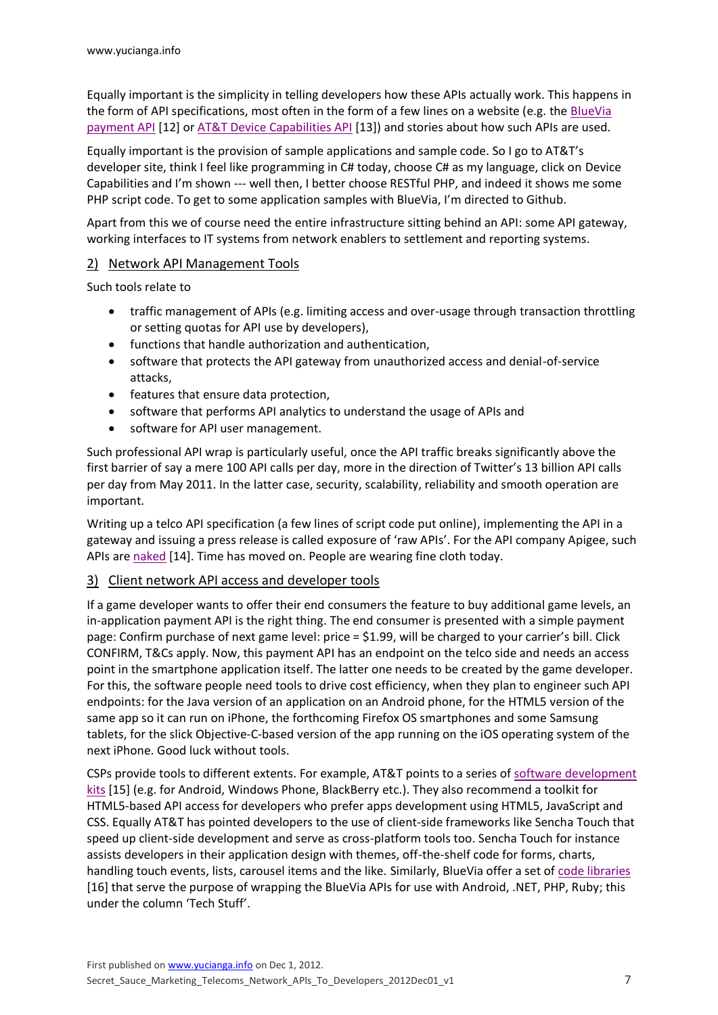Equally important is the simplicity in telling developers how these APIs actually work. This happens in the form of API specifications, most often in the form of a few lines on a website (e.g. the BlueVia [payment API](https://bluevia.com/en/page/tech.APIs.PaymentAPI) [12] or [AT&T Device Capabilities API](http://developer.att.com/developer/basicTemplate.jsp?passedItemId=13100102&api=Device%20Capabilities&version=2&method=&provider=) [13]) and stories about how such APIs are used.

Equally important is the provision of sample applications and sample code. So I go to AT&T's developer site, think I feel like programming in C# today, choose C# as my language, click on Device Capabilities and I'm shown --- well then, I better choose RESTful PHP, and indeed it shows me some PHP script code. To get to some application samples with BlueVia, I'm directed to Github.

Apart from this we of course need the entire infrastructure sitting behind an API: some API gateway, working interfaces to IT systems from network enablers to settlement and reporting systems.

### 2) Network API Management Tools

Such tools relate to

- traffic management of APIs (e.g. limiting access and over-usage through transaction throttling or setting quotas for API use by developers),
- functions that handle authorization and authentication,
- software that protects the API gateway from unauthorized access and denial-of-service attacks,
- features that ensure data protection,
- software that performs API analytics to understand the usage of APIs and
- software for API user management.

Such professional API wrap is particularly useful, once the API traffic breaks significantly above the first barrier of say a mere 100 API calls per day, more in the direction of Twitter's 13 billion API calls per day from May 2011. In the latter case, security, scalability, reliability and smooth operation are important.

Writing up a telco API specification (a few lines of script code put online), implementing the API in a gateway and issuing a press release is called exposure of 'raw APIs'. For the API company Apigee, such APIs ar[e naked](http://apigee.com/about/content/your-api-naked) [14]. Time has moved on. People are wearing fine cloth today.

#### 3) Client network API access and developer tools

If a game developer wants to offer their end consumers the feature to buy additional game levels, an in-application payment API is the right thing. The end consumer is presented with a simple payment page: Confirm purchase of next game level: price = \$1.99, will be charged to your carrier's bill. Click CONFIRM, T&Cs apply. Now, this payment API has an endpoint on the telco side and needs an access point in the smartphone application itself. The latter one needs to be created by the game developer. For this, the software people need tools to drive cost efficiency, when they plan to engineer such API endpoints: for the Java version of an application on an Android phone, for the HTML5 version of the same app so it can run on iPhone, the forthcoming Firefox OS smartphones and some Samsung tablets, for the slick Objective-C-based version of the app running on the iOS operating system of the next iPhone. Good luck without tools.

CSPs provide tools to different extents. For example, AT&T points to a series of [software development](http://developer.att.com/developer/forward.jsp?passedItemId=100026)  [kits](http://developer.att.com/developer/forward.jsp?passedItemId=100026) [15] (e.g. for Android, Windows Phone, BlackBerry etc.). They also recommend a toolkit for HTML5-based API access for developers who prefer apps development using HTML5, JavaScript and CSS. Equally AT&T has pointed developers to the use of client-side frameworks like Sencha Touch that speed up client-side development and serve as cross-platform tools too. Sencha Touch for instance assists developers in their application design with themes, off-the-shelf code for forms, charts, handling touch events, lists, carousel items and the like. Similarly, BlueVia offer a set of [code libraries](https://bluevia.com/en/page/tech.libraries) [16] that serve the purpose of wrapping the BlueVia APIs for use with Android, .NET, PHP, Ruby; this under the column 'Tech Stuff'.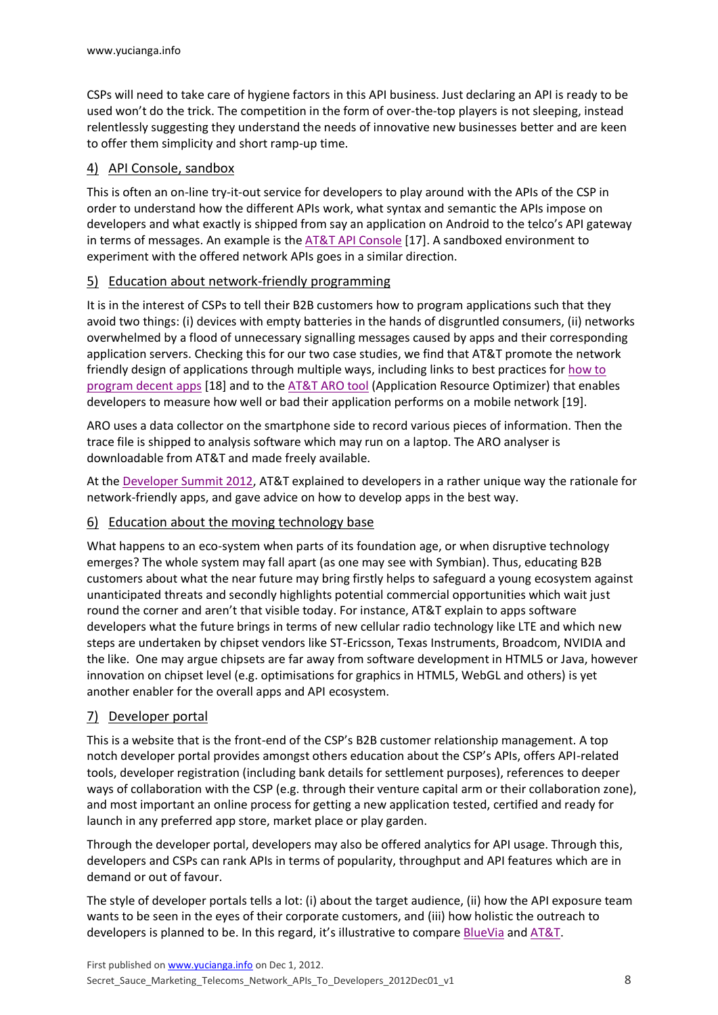CSPs will need to take care of hygiene factors in this API business. Just declaring an API is ready to be used won't do the trick. The competition in the form of over-the-top players is not sleeping, instead relentlessly suggesting they understand the needs of innovative new businesses better and are keen to offer them simplicity and short ramp-up time.

# 4) API Console, sandbox

This is often an on-line try-it-out service for developers to play around with the APIs of the CSP in order to understand how the different APIs work, what syntax and semantic the APIs impose on developers and what exactly is shipped from say an application on Android to the telco's API gateway in terms of messages. An example is the  $AT&TAP$ I Console [17]. A sandboxed environment to experiment with the offered network APIs goes in a similar direction.

# 5) Education about network-friendly programming

It is in the interest of CSPs to tell their B2B customers how to program applications such that they avoid two things: (i) devices with empty batteries in the hands of disgruntled consumers, (ii) networks overwhelmed by a flood of unnecessary signalling messages caused by apps and their corresponding application servers. Checking this for our two case studies, we find that AT&T promote the network friendly design of applications through multiple ways, including links to best practices for how to [program decent apps](http://developer.att.com/developer/forward.jsp?passedItemId=7200042) [18] and to the [AT&T ARO tool](http://developer.att.com/developer/legalAgreementPage.jsp?passedItemId=9700312) (Application Resource Optimizer) that enables developers to measure how well or bad their application performs on a mobile network [19].

ARO uses a data collector on the smartphone side to record various pieces of information. Then the trace file is shipped to analysis software which may run on a laptop. The ARO analyser is downloadable from AT&T and made freely available.

At the [Developer Summit 2012,](https://developer.att.com/developer/forward.jsp?passedItemId=9700278) AT&T explained to developers in a rather unique way the rationale for network-friendly apps, and gave advice on how to develop apps in the best way.

# 6) Education about the moving technology base

What happens to an eco-system when parts of its foundation age, or when disruptive technology emerges? The whole system may fall apart (as one may see with Symbian). Thus, educating B2B customers about what the near future may bring firstly helps to safeguard a young ecosystem against unanticipated threats and secondly highlights potential commercial opportunities which wait just round the corner and aren't that visible today. For instance, AT&T explain to apps software developers what the future brings in terms of new cellular radio technology like LTE and which new steps are undertaken by chipset vendors like ST-Ericsson, Texas Instruments, Broadcom, NVIDIA and the like. One may argue chipsets are far away from software development in HTML5 or Java, however innovation on chipset level (e.g. optimisations for graphics in HTML5, WebGL and others) is yet another enabler for the overall apps and API ecosystem.

# 7) Developer portal

This is a website that is the front-end of the CSP's B2B customer relationship management. A top notch developer portal provides amongst others education about the CSP's APIs, offers API-related tools, developer registration (including bank details for settlement purposes), references to deeper ways of collaboration with the CSP (e.g. through their venture capital arm or their collaboration zone), and most important an online process for getting a new application tested, certified and ready for launch in any preferred app store, market place or play garden.

Through the developer portal, developers may also be offered analytics for API usage. Through this, developers and CSPs can rank APIs in terms of popularity, throughput and API features which are in demand or out of favour.

The style of developer portals tells a lot: (i) about the target audience, (ii) how the API exposure team wants to be seen in the eyes of their corporate customers, and (iii) how holistic the outreach to developers is planned to be. In this regard, it's illustrative to compare **[BlueVia](https://bluevia.com/en/) and AT&T**.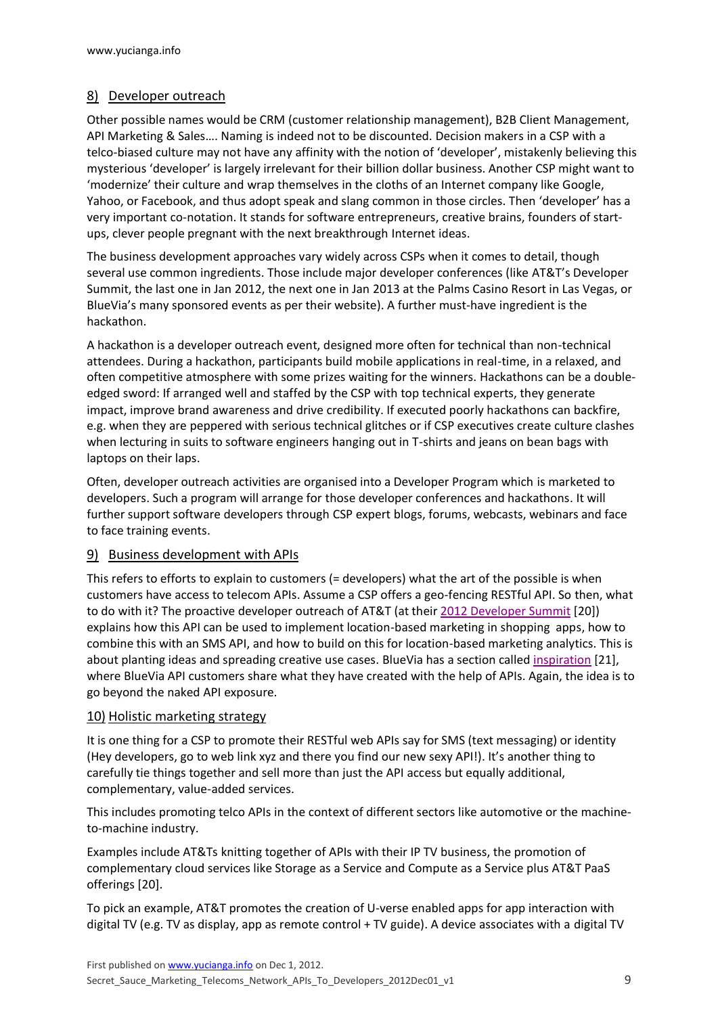### 8) Developer outreach

Other possible names would be CRM (customer relationship management), B2B Client Management, API Marketing & Sales…. Naming is indeed not to be discounted. Decision makers in a CSP with a telco-biased culture may not have any affinity with the notion of 'developer', mistakenly believing this mysterious 'developer' is largely irrelevant for their billion dollar business. Another CSP might want to 'modernize' their culture and wrap themselves in the cloths of an Internet company like Google, Yahoo, or Facebook, and thus adopt speak and slang common in those circles. Then 'developer' has a very important co-notation. It stands for software entrepreneurs, creative brains, founders of startups, clever people pregnant with the next breakthrough Internet ideas.

The business development approaches vary widely across CSPs when it comes to detail, though several use common ingredients. Those include major developer conferences (like AT&T's Developer Summit, the last one in Jan 2012, the next one in Jan 2013 at the Palms Casino Resort in Las Vegas, or BlueVia's many sponsored events as per their website). A further must-have ingredient is the hackathon.

A hackathon is a developer outreach event, designed more often for technical than non-technical attendees. During a hackathon, participants build mobile applications in real-time, in a relaxed, and often competitive atmosphere with some prizes waiting for the winners. Hackathons can be a doubleedged sword: If arranged well and staffed by the CSP with top technical experts, they generate impact, improve brand awareness and drive credibility. If executed poorly hackathons can backfire, e.g. when they are peppered with serious technical glitches or if CSP executives create culture clashes when lecturing in suits to software engineers hanging out in T-shirts and jeans on bean bags with laptops on their laps.

Often, developer outreach activities are organised into a Developer Program which is marketed to developers. Such a program will arrange for those developer conferences and hackathons. It will further support software developers through CSP expert blogs, forums, webcasts, webinars and face to face training events.

### 9) Business development with APIs

This refers to efforts to explain to customers (= developers) what the art of the possible is when customers have access to telecom APIs. Assume a CSP offers a geo-fencing RESTful API. So then, what to do with it? The proactive developer outreach of AT&T (at their [2012 Developer Summit](https://developer.att.com/developer/forward.jsp?passedItemId=9700278) [20]) explains how this API can be used to implement location-based marketing in shopping apps, how to combine this with an SMS API, and how to build on this for location-based marketing analytics. This is about planting ideas and spreading creative use cases. BlueVia has a section called [inspiration](https://bluevia.com/en/page/inspiration) [21], where BlueVia API customers share what they have created with the help of APIs. Again, the idea is to go beyond the naked API exposure.

### 10) Holistic marketing strategy

It is one thing for a CSP to promote their RESTful web APIs say for SMS (text messaging) or identity (Hey developers, go to web link xyz and there you find our new sexy API!). It's another thing to carefully tie things together and sell more than just the API access but equally additional, complementary, value-added services.

This includes promoting telco APIs in the context of different sectors like automotive or the machineto-machine industry.

Examples include AT&Ts knitting together of APIs with their IP TV business, the promotion of complementary cloud services like Storage as a Service and Compute as a Service plus AT&T PaaS offerings [20].

To pick an example, AT&T promotes the creation of U-verse enabled apps for app interaction with digital TV (e.g. TV as display, app as remote control + TV guide). A device associates with a digital TV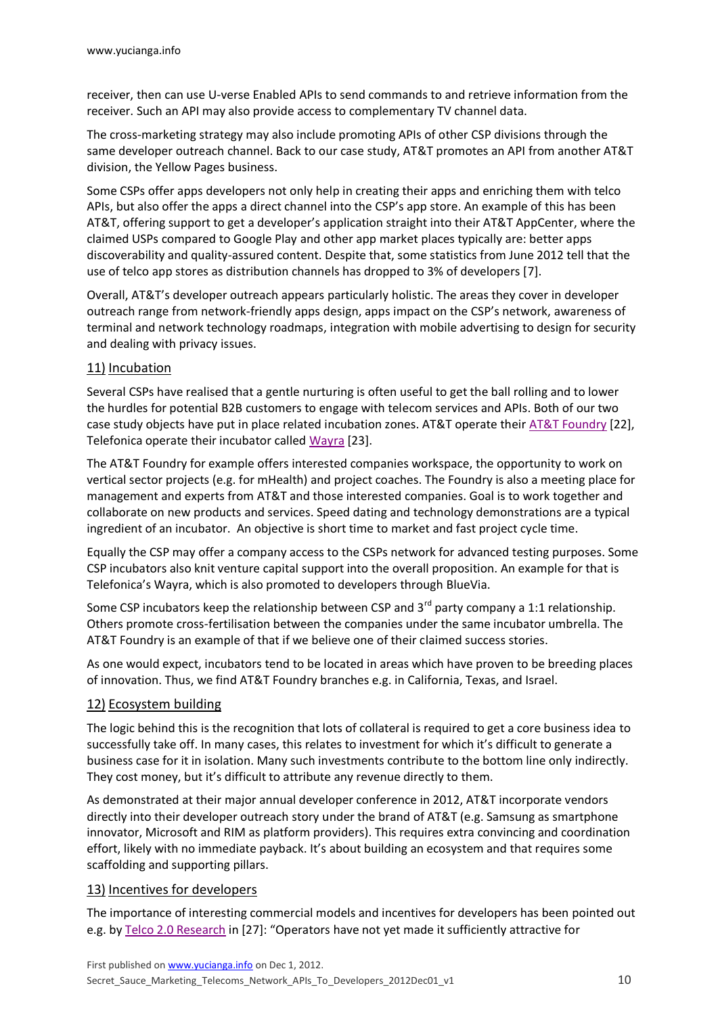receiver, then can use U-verse Enabled APIs to send commands to and retrieve information from the receiver. Such an API may also provide access to complementary TV channel data.

The cross-marketing strategy may also include promoting APIs of other CSP divisions through the same developer outreach channel. Back to our case study, AT&T promotes an API from another AT&T division, the Yellow Pages business.

Some CSPs offer apps developers not only help in creating their apps and enriching them with telco APIs, but also offer the apps a direct channel into the CSP's app store. An example of this has been AT&T, offering support to get a developer's application straight into their AT&T AppCenter, where the claimed USPs compared to Google Play and other app market places typically are: better apps discoverability and quality-assured content. Despite that, some statistics from June 2012 tell that the use of telco app stores as distribution channels has dropped to 3% of developers [7].

Overall, AT&T's developer outreach appears particularly holistic. The areas they cover in developer outreach range from network-friendly apps design, apps impact on the CSP's network, awareness of terminal and network technology roadmaps, integration with mobile advertising to design for security and dealing with privacy issues.

### 11) Incubation

Several CSPs have realised that a gentle nurturing is often useful to get the ball rolling and to lower the hurdles for potential B2B customers to engage with telecom services and APIs. Both of our two case study objects have put in place related incubation zones. AT&T operate their [AT&T Foundry](https://www.foundry.att.com/) [22], Telefonica operate their incubator called [Wayra](http://www.telefonica.com/en/digital/html/venture_capital/wayra.shtml) [23].

The AT&T Foundry for example offers interested companies workspace, the opportunity to work on vertical sector projects (e.g. for mHealth) and project coaches. The Foundry is also a meeting place for management and experts from AT&T and those interested companies. Goal is to work together and collaborate on new products and services. Speed dating and technology demonstrations are a typical ingredient of an incubator. An objective is short time to market and fast project cycle time.

Equally the CSP may offer a company access to the CSPs network for advanced testing purposes. Some CSP incubators also knit venture capital support into the overall proposition. An example for that is Telefonica's Wayra, which is also promoted to developers through BlueVia.

Some CSP incubators keep the relationship between CSP and  $3^{rd}$  party company a 1:1 relationship. Others promote cross-fertilisation between the companies under the same incubator umbrella. The AT&T Foundry is an example of that if we believe one of their claimed success stories.

As one would expect, incubators tend to be located in areas which have proven to be breeding places of innovation. Thus, we find AT&T Foundry branches e.g. in California, Texas, and Israel.

### 12) Ecosystem building

The logic behind this is the recognition that lots of collateral is required to get a core business idea to successfully take off. In many cases, this relates to investment for which it's difficult to generate a business case for it in isolation. Many such investments contribute to the bottom line only indirectly. They cost money, but it's difficult to attribute any revenue directly to them.

As demonstrated at their major annual developer conference in 2012, AT&T incorporate vendors directly into their developer outreach story under the brand of AT&T (e.g. Samsung as smartphone innovator, Microsoft and RIM as platform providers). This requires extra convincing and coordination effort, likely with no immediate payback. It's about building an ecosystem and that requires some scaffolding and supporting pillars.

#### 13) Incentives for developers

The importance of interesting commercial models and incentives for developers has been pointed out e.g. by [Telco 2.0 Research](http://www.telco2research.com/articles/AN_apps-apis-facebook-skype-imessage_Summary) in [27]: "Operators have not yet made it sufficiently attractive for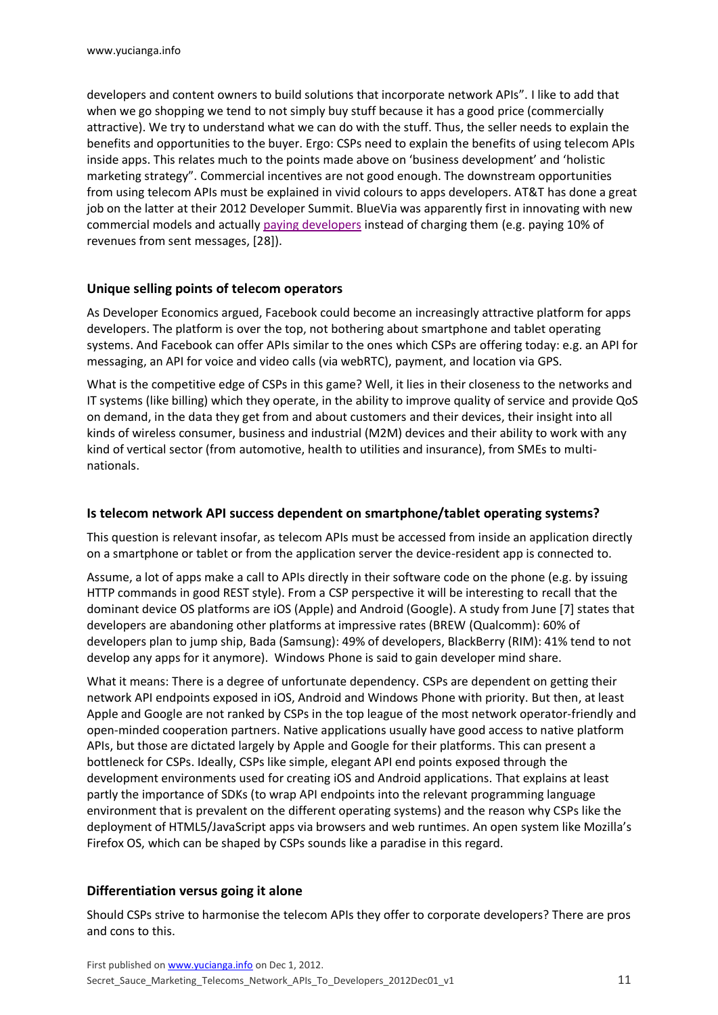developers and content owners to build solutions that incorporate network APIs". I like to add that when we go shopping we tend to not simply buy stuff because it has a good price (commercially attractive). We try to understand what we can do with the stuff. Thus, the seller needs to explain the benefits and opportunities to the buyer. Ergo: CSPs need to explain the benefits of using telecom APIs inside apps. This relates much to the points made above on 'business development' and 'holistic marketing strategy". Commercial incentives are not good enough. The downstream opportunities from using telecom APIs must be explained in vivid colours to apps developers. AT&T has done a great job on the latter at their 2012 Developer Summit. BlueVia was apparently first in innovating with new commercial models and actually [paying developers](https://bluevia.com/en/page/biz.businessmodels) instead of charging them (e.g. paying 10% of revenues from sent messages, [28]).

### **Unique selling points of telecom operators**

As Developer Economics argued, Facebook could become an increasingly attractive platform for apps developers. The platform is over the top, not bothering about smartphone and tablet operating systems. And Facebook can offer APIs similar to the ones which CSPs are offering today: e.g. an API for messaging, an API for voice and video calls (via webRTC), payment, and location via GPS.

What is the competitive edge of CSPs in this game? Well, it lies in their closeness to the networks and IT systems (like billing) which they operate, in the ability to improve quality of service and provide QoS on demand, in the data they get from and about customers and their devices, their insight into all kinds of wireless consumer, business and industrial (M2M) devices and their ability to work with any kind of vertical sector (from automotive, health to utilities and insurance), from SMEs to multinationals.

### **Is telecom network API success dependent on smartphone/tablet operating systems?**

This question is relevant insofar, as telecom APIs must be accessed from inside an application directly on a smartphone or tablet or from the application server the device-resident app is connected to.

Assume, a lot of apps make a call to APIs directly in their software code on the phone (e.g. by issuing HTTP commands in good REST style). From a CSP perspective it will be interesting to recall that the dominant device OS platforms are iOS (Apple) and Android (Google). A study from June [7] states that developers are abandoning other platforms at impressive rates (BREW (Qualcomm): 60% of developers plan to jump ship, Bada (Samsung): 49% of developers, BlackBerry (RIM): 41% tend to not develop any apps for it anymore). Windows Phone is said to gain developer mind share.

What it means: There is a degree of unfortunate dependency. CSPs are dependent on getting their network API endpoints exposed in iOS, Android and Windows Phone with priority. But then, at least Apple and Google are not ranked by CSPs in the top league of the most network operator-friendly and open-minded cooperation partners. Native applications usually have good access to native platform APIs, but those are dictated largely by Apple and Google for their platforms. This can present a bottleneck for CSPs. Ideally, CSPs like simple, elegant API end points exposed through the development environments used for creating iOS and Android applications. That explains at least partly the importance of SDKs (to wrap API endpoints into the relevant programming language environment that is prevalent on the different operating systems) and the reason why CSPs like the deployment of HTML5/JavaScript apps via browsers and web runtimes. An open system like Mozilla's Firefox OS, which can be shaped by CSPs sounds like a paradise in this regard.

# **Differentiation versus going it alone**

Should CSPs strive to harmonise the telecom APIs they offer to corporate developers? There are pros and cons to this.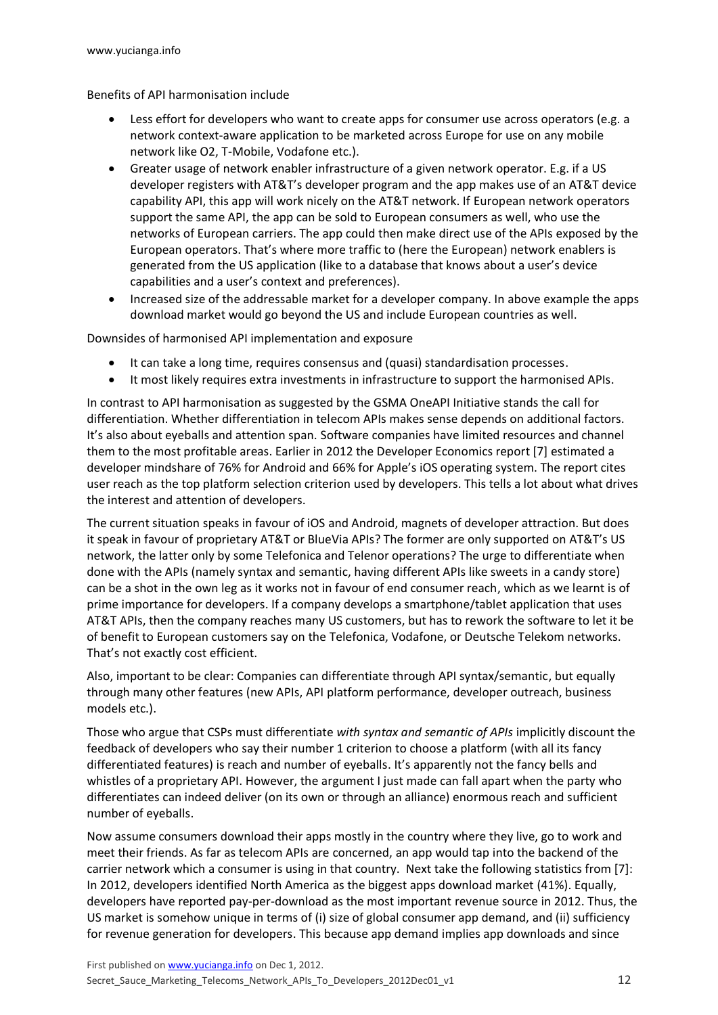Benefits of API harmonisation include

- Less effort for developers who want to create apps for consumer use across operators (e.g. a network context-aware application to be marketed across Europe for use on any mobile network like O2, T-Mobile, Vodafone etc.).
- Greater usage of network enabler infrastructure of a given network operator. E.g. if a US developer registers with AT&T's developer program and the app makes use of an AT&T device capability API, this app will work nicely on the AT&T network. If European network operators support the same API, the app can be sold to European consumers as well, who use the networks of European carriers. The app could then make direct use of the APIs exposed by the European operators. That's where more traffic to (here the European) network enablers is generated from the US application (like to a database that knows about a user's device capabilities and a user's context and preferences).
- Increased size of the addressable market for a developer company. In above example the apps download market would go beyond the US and include European countries as well.

Downsides of harmonised API implementation and exposure

- It can take a long time, requires consensus and (quasi) standardisation processes.
- It most likely requires extra investments in infrastructure to support the harmonised APIs.

In contrast to API harmonisation as suggested by the GSMA OneAPI Initiative stands the call for differentiation. Whether differentiation in telecom APIs makes sense depends on additional factors. It's also about eyeballs and attention span. Software companies have limited resources and channel them to the most profitable areas. Earlier in 2012 the Developer Economics report [7] estimated a developer mindshare of 76% for Android and 66% for Apple's iOS operating system. The report cites user reach as the top platform selection criterion used by developers. This tells a lot about what drives the interest and attention of developers.

The current situation speaks in favour of iOS and Android, magnets of developer attraction. But does it speak in favour of proprietary AT&T or BlueVia APIs? The former are only supported on AT&T's US network, the latter only by some Telefonica and Telenor operations? The urge to differentiate when done with the APIs (namely syntax and semantic, having different APIs like sweets in a candy store) can be a shot in the own leg as it works not in favour of end consumer reach, which as we learnt is of prime importance for developers. If a company develops a smartphone/tablet application that uses AT&T APIs, then the company reaches many US customers, but has to rework the software to let it be of benefit to European customers say on the Telefonica, Vodafone, or Deutsche Telekom networks. That's not exactly cost efficient.

Also, important to be clear: Companies can differentiate through API syntax/semantic, but equally through many other features (new APIs, API platform performance, developer outreach, business models etc.).

Those who argue that CSPs must differentiate *with syntax and semantic of APIs* implicitly discount the feedback of developers who say their number 1 criterion to choose a platform (with all its fancy differentiated features) is reach and number of eyeballs. It's apparently not the fancy bells and whistles of a proprietary API. However, the argument I just made can fall apart when the party who differentiates can indeed deliver (on its own or through an alliance) enormous reach and sufficient number of eyeballs.

Now assume consumers download their apps mostly in the country where they live, go to work and meet their friends. As far as telecom APIs are concerned, an app would tap into the backend of the carrier network which a consumer is using in that country. Next take the following statistics from [7]: In 2012, developers identified North America as the biggest apps download market (41%). Equally, developers have reported pay-per-download as the most important revenue source in 2012. Thus, the US market is somehow unique in terms of (i) size of global consumer app demand, and (ii) sufficiency for revenue generation for developers. This because app demand implies app downloads and since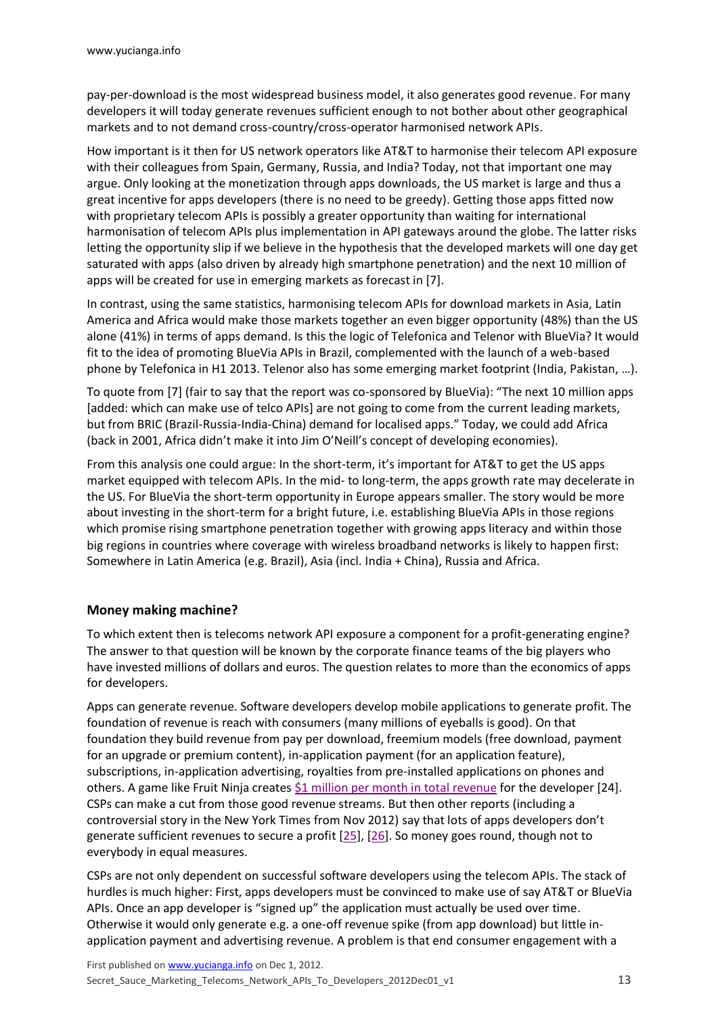pay-per-download is the most widespread business model, it also generates good revenue. For many developers it will today generate revenues sufficient enough to not bother about other geographical markets and to not demand cross-country/cross-operator harmonised network APIs.

How important is it then for US network operators like AT&T to harmonise their telecom API exposure with their colleagues from Spain, Germany, Russia, and India? Today, not that important one may argue. Only looking at the monetization through apps downloads, the US market is large and thus a great incentive for apps developers (there is no need to be greedy). Getting those apps fitted now with proprietary telecom APIs is possibly a greater opportunity than waiting for international harmonisation of telecom APIs plus implementation in API gateways around the globe. The latter risks letting the opportunity slip if we believe in the hypothesis that the developed markets will one day get saturated with apps (also driven by already high smartphone penetration) and the next 10 million of apps will be created for use in emerging markets as forecast in [7].

In contrast, using the same statistics, harmonising telecom APIs for download markets in Asia, Latin America and Africa would make those markets together an even bigger opportunity (48%) than the US alone (41%) in terms of apps demand. Is this the logic of Telefonica and Telenor with BlueVia? It would fit to the idea of promoting BlueVia APIs in Brazil, complemented with the launch of a web-based phone by Telefonica in H1 2013. Telenor also has some emerging market footprint (India, Pakistan, …).

To quote from [7] (fair to say that the report was co-sponsored by BlueVia): "The next 10 million apps [added: which can make use of telco APIs] are not going to come from the current leading markets, but from BRIC (Brazil-Russia-India-China) demand for localised apps." Today, we could add Africa (back in 2001, Africa didn't make it into Jim O'Neill's concept of developing economies).

From this analysis one could argue: In the short-term, it's important for AT&T to get the US apps market equipped with telecom APIs. In the mid- to long-term, the apps growth rate may decelerate in the US. For BlueVia the short-term opportunity in Europe appears smaller. The story would be more about investing in the short-term for a bright future, i.e. establishing BlueVia APIs in those regions which promise rising smartphone penetration together with growing apps literacy and within those big regions in countries where coverage with wireless broadband networks is likely to happen first: Somewhere in Latin America (e.g. Brazil), Asia (incl. India + China), Russia and Africa.

### **Money making machine?**

To which extent then is telecoms network API exposure a component for a profit-generating engine? The answer to that question will be known by the corporate finance teams of the big players who have invested millions of dollars and euros. The question relates to more than the economics of apps for developers.

Apps can generate revenue. Software developers develop mobile applications to generate profit. The foundation of revenue is reach with consumers (many millions of eyeballs is good). On that foundation they build revenue from pay per download, freemium models (free download, payment for an upgrade or premium content), in-application payment (for an application feature), subscriptions, in-application advertising, royalties from pre-installed applications on phones and others. A game like Fruit Ninja creates [\\$1 million per month in total revenue](http://adage.com/article/digital/mobile-app-economics-fruit-ninja-makes-400-000-a-month-ads/235965/) for the developer [24]. CSPs can make a cut from those good revenue streams. But then other reports (including a controversial story in the New York Times from Nov 2012) say that lots of apps developers don't generate sufficient revenues to secure a profit [\[25\]](http://www.nytimes.com/2012/11/18/business/as-boom-lures-app-creators-tough-part-is-making-a-living.html?_r=2&pagewanted=all&), [\[26\]](http://blog.finette.com/2012/11/20/the-false-economy-of-apps/). So money goes round, though not to everybody in equal measures.

CSPs are not only dependent on successful software developers using the telecom APIs. The stack of hurdles is much higher: First, apps developers must be convinced to make use of say AT&T or BlueVia APIs. Once an app developer is "signed up" the application must actually be used over time. Otherwise it would only generate e.g. a one-off revenue spike (from app download) but little inapplication payment and advertising revenue. A problem is that end consumer engagement with a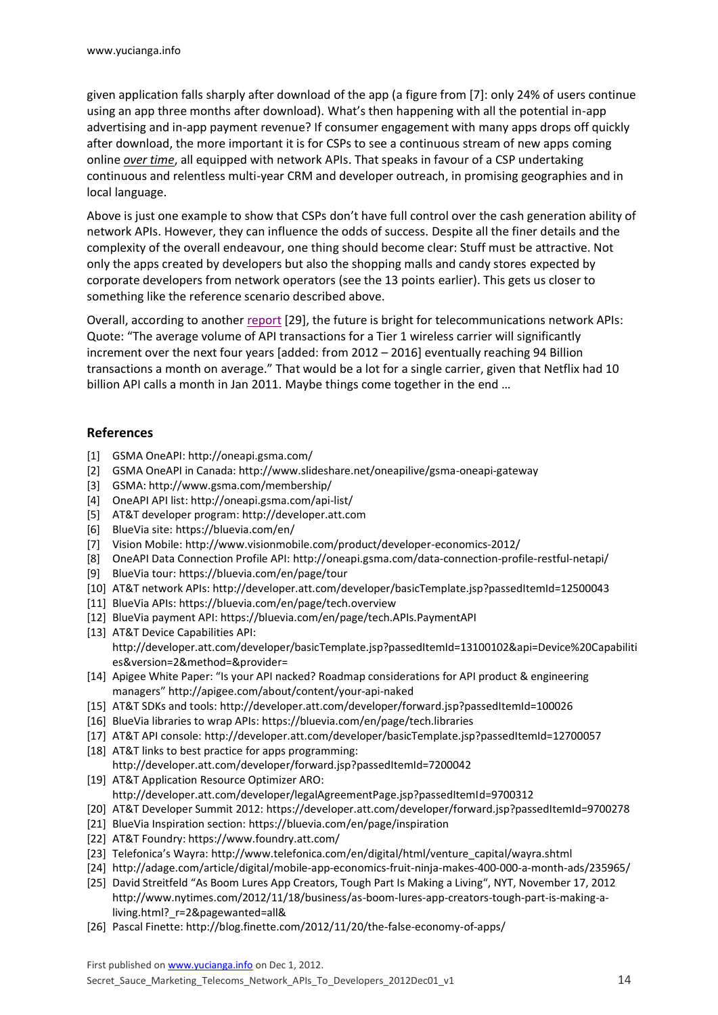given application falls sharply after download of the app (a figure from [7]: only 24% of users continue using an app three months after download). What's then happening with all the potential in-app advertising and in-app payment revenue? If consumer engagement with many apps drops off quickly after download, the more important it is for CSPs to see a continuous stream of new apps coming online *over time*, all equipped with network APIs. That speaks in favour of a CSP undertaking continuous and relentless multi-year CRM and developer outreach, in promising geographies and in local language.

Above is just one example to show that CSPs don't have full control over the cash generation ability of network APIs. However, they can influence the odds of success. Despite all the finer details and the complexity of the overall endeavour, one thing should become clear: Stuff must be attractive. Not only the apps created by developers but also the shopping malls and candy stores expected by corporate developers from network operators (see the 13 points earlier). This gets us closer to something like the reference scenario described above.

Overall, according to another [report](http://www.mindcommerce.com/Publications/TelecomAPI_2012-2016.php) [29], the future is bright for telecommunications network APIs: Quote: "The average volume of API transactions for a Tier 1 wireless carrier will significantly increment over the next four years [added: from 2012 – 2016] eventually reaching 94 Billion transactions a month on average." That would be a lot for a single carrier, given that Netflix had 10 billion API calls a month in Jan 2011. Maybe things come together in the end …

### **References**

- [1] GSMA OneAPI:<http://oneapi.gsma.com/>
- [2] GSMA OneAPI in Canada:<http://www.slideshare.net/oneapilive/gsma-oneapi-gateway>
- [3] GSMA[: http://www.gsma.com/membership/](http://www.gsma.com/membership/)
- [4] OneAPI API list[: http://oneapi.gsma.com/api-list/](http://oneapi.gsma.com/api-list/)
- [5] AT&T developer program: [http://developer.att.com](http://developer.att.com/)
- [6] BlueVia site[: https://bluevia.com/en/](https://bluevia.com/en/)
- [7] Vision Mobile:<http://www.visionmobile.com/product/developer-economics-2012/>
- [8] OneAPI Data Connection Profile API:<http://oneapi.gsma.com/data-connection-profile-restful-netapi/>
- [9] BlueVia tour[: https://bluevia.com/en/page/tour](https://bluevia.com/en/page/tour)
- [10] AT&T network APIs[: http://developer.att.com/developer/basicTemplate.jsp?passedItemId=12500043](http://developer.att.com/developer/basicTemplate.jsp?passedItemId=12500043)
- [11] BlueVia APIs[: https://bluevia.com/en/page/tech.overview](https://bluevia.com/en/page/tech.overview)
- [12] BlueVia payment API:<https://bluevia.com/en/page/tech.APIs.PaymentAPI>
- [13] AT&T Device Capabilities API: [http://developer.att.com/developer/basicTemplate.jsp?passedItemId=13100102&api=Device%20Capabiliti](http://developer.att.com/developer/basicTemplate.jsp?passedItemId=13100102&api=Device%20Capabilities&version=2&method=&provider) [es&version=2&method=&provider=](http://developer.att.com/developer/basicTemplate.jsp?passedItemId=13100102&api=Device%20Capabilities&version=2&method=&provider)
- [14] Apigee White Paper: "Is your API nacked? Roadmap considerations for API product & engineering managers" <http://apigee.com/about/content/your-api-naked>
- [15] AT&T SDKs and tools[: http://developer.att.com/developer/forward.jsp?passedItemId=100026](http://developer.att.com/developer/forward.jsp?passedItemId=100026)
- [16] BlueVia libraries to wrap APIs[: https://bluevia.com/en/page/tech.libraries](https://bluevia.com/en/page/tech.libraries)
- [17] AT&T API console[: http://developer.att.com/developer/basicTemplate.jsp?passedItemId=12700057](http://developer.att.com/developer/basicTemplate.jsp?passedItemId=12700057)
- [18] AT&T links to best practice for apps programming:
- <http://developer.att.com/developer/forward.jsp?passedItemId=7200042> [19] AT&T Application Resource Optimizer ARO:
	- <http://developer.att.com/developer/legalAgreementPage.jsp?passedItemId=9700312>
- [20] AT&T Developer Summit 2012:<https://developer.att.com/developer/forward.jsp?passedItemId=9700278>
- [21] BlueVia Inspiration section:<https://bluevia.com/en/page/inspiration>
- [22] AT&T Foundry: https://www.foundry.att.com/
- [23] Telefonica's Wayra: [http://www.telefonica.com/en/digital/html/venture\\_capital/wayra.shtml](http://www.telefonica.com/en/digital/html/venture_capital/wayra.shtml)
- [24] http://adage.com/article/digital/mobile-app-economics-fruit-ninja-makes-400-000-a-month-ads/235965/
- [25] [David Streitfeld](http://topics.nytimes.com/top/reference/timestopics/people/s/david_streitfeld/index.html) "As Boom Lures App Creators, Tough Part Is Making a Living", NYT, November 17, 2012 [http://www.nytimes.com/2012/11/18/business/as-boom-lures-app-creators-tough-part-is-making-a](http://www.nytimes.com/2012/11/18/business/as-boom-lures-app-creators-tough-part-is-making-a-living.html?_r=2&pagewanted=all&)[living.html?\\_r=2&pagewanted=all&](http://www.nytimes.com/2012/11/18/business/as-boom-lures-app-creators-tough-part-is-making-a-living.html?_r=2&pagewanted=all&)
- [26] Pascal Finette[: http://blog.finette.com/2012/11/20/the-false-economy-of-apps/](http://blog.finette.com/2012/11/20/the-false-economy-of-apps/)